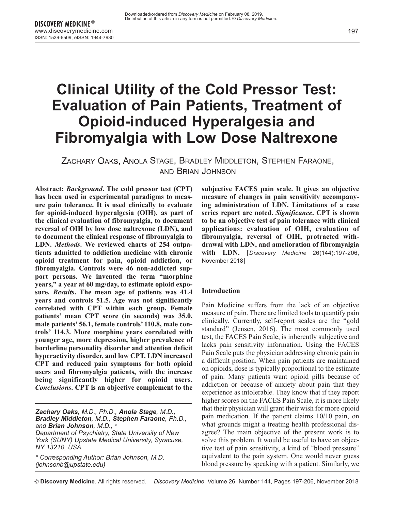# **Clinical Utility of the Cold Pressor Test: Evaluation of Pain Patients, Treatment of Opioid-induced Hyperalgesia and Fibromyalgia with Low Dose Naltrexone**

ZACHARY OAKS, ANOLA STAGE, BRADLEY MIDDLETON, STEPHEN FARAONE, AND BRIAN JOHNSON

**Abstract:** *Background***. The cold pressor test (CPT) has been used in experimental paradigms to measure pain tolerance. It is used clinically to evaluate for opioid-induced hyperalgesia (OIH), as part of the clinical evaluation of fibromyalgia, to document reversal of OIH by low dose naltrexone (LDN), and to document the clinical response of fibromyalgia to LDN.** *Methods***. We reviewed charts of 254 outpatients admitted to addiction medicine with chronic opioid treatment for pain, opioid addiction, or fibromyalgia. Controls were 46 non-addicted support persons. We invented the term "morphine years," a year at 60 mg/day, to estimate opioid exposure.** *Results***. The mean age of patients was 41.4 years and controls 51.5. Age was not significantly correlated with CPT within each group. Female patients' mean CPT score (in seconds) was 35.0, male patients' 56.1, female controls' 110.8, male controls' 114.3. More morphine years correlated with younger age, more depression, higher prevalence of borderline personality disorder and attention deficit hyperactivity disorder, and low CPT. LDN increased CPT and reduced pain symptoms for both opioid users and fibromyalgia patients, with the increase being significantly higher for opioid users.** *Conclusions***. CPT is an objective complement to the**

*Zachary Oaks, M.D., Ph.D., Anola Stage, M.D., Bradley Middleton, M.D., Stephen Faraone, Ph.D., and Brian Johnson, M.D., \* Department of Psychiatry, State University of New York (SUNY) Upstate Medical University, Syracuse, NY 13210, USA.*

*\* Corresponding Author: Brian Johnson, M.D. (johnsonb@upstate.edu)*

**subjective FACES pain scale. It gives an objective measure of changes in pain sensitivity accompanying administration of LDN. Limitations of a case series report are noted.** *Significance***. CPT is shown to be an objective test of pain tolerance with clinical applications: evaluation of OIH, evaluation of fibromyalgia, reversal of OIH, protracted withdrawal with LDN, and amelioration of fibromyalgia with LDN.** [*Discovery Medicine* 26(144):197-206, November 2018]

#### **Introduction**

Pain Medicine suffers from the lack of an objective measure of pain. There are limited tools to quantify pain clinically. Currently, self-report scales are the "gold standard" (Jensen, 2016). The most commonly used test, the FACES Pain Scale, is inherently subjective and lacks pain sensitivity information. Using the FACES Pain Scale puts the physician addressing chronic pain in a difficult position. When pain patients are maintained on opioids, dose is typically proportional to the estimate of pain. Many patients want opioid pills because of addiction or because of anxiety about pain that they experience as intolerable. They know that if they report higher scores on the FACES Pain Scale, it is more likely that their physician will grant their wish for more opioid pain medication. If the patient claims 10/10 pain, on what grounds might a treating health professional disagree? The main objective of the present work is to solve this problem. It would be useful to have an objective test of pain sensitivity, a kind of "blood pressure" equivalent to the pain system. One would never guess blood pressure by speaking with a patient. Similarly, we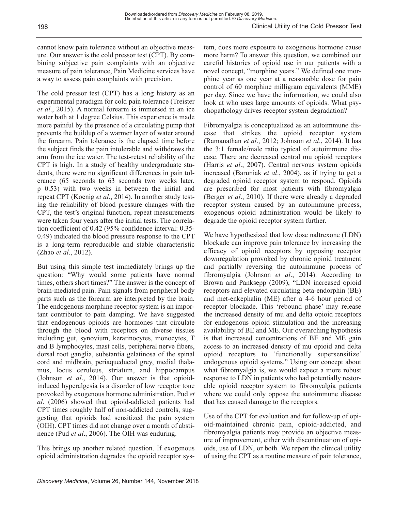cannot know pain tolerance without an objective measure. Our answer is the cold pressor test (CPT). By combining subjective pain complaints with an objective measure of pain tolerance, Pain Medicine services have a way to assess pain complaints with precision.

The cold pressor test (CPT) has a long history as an experimental paradigm for cold pain tolerance (Treister *et al*., 2015). A normal forearm is immersed in an ice water bath at 1 degree Celsius. This experience is made more painful by the presence of a circulating pump that prevents the buildup of a warmer layer of water around the forearm. Pain tolerance is the elapsed time before the subject finds the pain intolerable and withdraws the arm from the ice water. The test-retest reliability of the CPT is high. In a study of healthy undergraduate students, there were no significant differences in pain tolerance (65 seconds to 63 seconds two weeks later, p=0.53) with two weeks in between the initial and repeat CPT (Koenig *et al*., 2014). In another study testing the reliability of blood pressure changes with the CPT, the test's original function, repeat measurements were taken four years after the initial tests. The correlation coefficient of 0.42 (95% confidence interval: 0.35- 0.49) indicated the blood pressure response to the CPT is a long-term reproducible and stable characteristic (Zhao *et al*., 2012).

But using this simple test immediately brings up the question: "Why would some patients have normal times, others short times?" The answer is the concept of brain-mediated pain. Pain signals from peripheral body parts such as the forearm are interpreted by the brain. The endogenous morphine receptor system is an important contributor to pain damping. We have suggested that endogenous opioids are hormones that circulate through the blood with receptors on diverse tissues including gut, synovium, keratinocytes, monocytes, T and B lymphocytes, mast cells, peripheral nerve fibers, dorsal root ganglia, substantia gelatinosa of the spinal cord and midbrain, periaqueductal grey, medial thalamus, locus ceruleus, striatum, and hippocampus (Johnson *et al*., 2014). Our answer is that opioidinduced hyperalgesia is a disorder of low receptor tone provoked by exogenous hormone administration. Pud *et al*. (2006) showed that opioid-addicted patients had CPT times roughly half of non-addicted controls, suggesting that opioids had sensitized the pain system (OIH). CPT times did not change over a month of abstinence (Pud *et al*., 2006). The OIH was enduring.

This brings up another related question. If exogenous opioid administration degrades the opioid receptor system, does more exposure to exogenous hormone cause more harm? To answer this question, we combined our careful histories of opioid use in our patients with a novel concept, "morphine years." We defined one morphine year as one year at a reasonable dose for pain control of 60 morphine milligram equivalents (MME) per day. Since we have the information, we could also look at who uses large amounts of opioids. What psychopathology drives receptor system degradation?

Fibromyalgia is conceptualized as an autoimmune disease that strikes the opioid receptor system (Ramanathan *et al*., 2012; Johnson *et al*., 2014). It has the 3:1 female/male ratio typical of autoimmune disease. There are decreased central mu opioid receptors (Harris *et al*., 2007). Central nervous system opioids increased (Baruniak *et al*., 2004), as if trying to get a degraded opioid receptor system to respond. Opioids are prescribed for most patients with fibromyalgia (Berger *et al*., 2010). If there were already a degraded receptor system caused by an autoimmune process, exogenous opioid administration would be likely to degrade the opioid receptor system further.

We have hypothesized that low dose naltrexone (LDN) blockade can improve pain tolerance by increasing the efficacy of opioid receptors by opposing receptor downregulation provoked by chronic opioid treatment and partially reversing the autoimmune process of fibromyalgia (Johnson *et al*., 2014). According to Brown and Panksepp (2009), "LDN increased opioid receptors and elevated circulating beta-endorphin (BE) and met-enkephalin (ME) after a 4-6 hour period of receptor blockade. This 'rebound phase' may release the increased density of mu and delta opioid receptors for endogenous opioid stimulation and the increasing availability of BE and ME. Our overarching hypothesis is that increased concentrations of BE and ME gain access to an increased density of mu opioid and delta opioid receptors to 'functionally supersensitize' endogenous opioid systems." Using our concept about what fibromyalgia is, we would expect a more robust response to LDN in patients who had potentially restorable opioid receptor system to fibromyalgia patients where we could only oppose the autoimmune disease that has caused damage to the receptors.

Use of the CPT for evaluation and for follow-up of opioid-maintained chronic pain, opioid-addicted, and fibromyalgia patients may provide an objective measure of improvement, either with discontinuation of opioids, use of LDN, or both. We report the clinical utility of using the CPT as a routine measure of pain tolerance,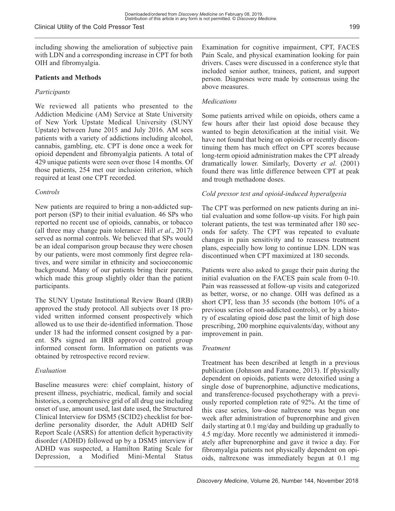including showing the amelioration of subjective pain with LDN and a corresponding increase in CPT for both OIH and fibromyalgia.

Clinical Utility of the Cold Pressor Test

#### **Patients and Methods**

#### *Participants*

We reviewed all patients who presented to the Addiction Medicine (AM) Service at State University of New York Upstate Medical University (SUNY Upstate) between June 2015 and July 2016. AM sees patients with a variety of addictions including alcohol, cannabis, gambling, etc. CPT is done once a week for opioid dependent and fibromyalgia patients. A total of 429 unique patients were seen over those 14 months. Of those patients, 254 met our inclusion criterion, which required at least one CPT recorded.

#### *Controls*

New patients are required to bring a non-addicted support person (SP) to their initial evaluation. 46 SPs who reported no recent use of opioids, cannabis, or tobacco (all three may change pain tolerance: Hill *et al*., 2017) served as normal controls. We believed that SPs would be an ideal comparison group because they were chosen by our patients, were most commonly first degree relatives, and were similar in ethnicity and socioeconomic background. Many of our patients bring their parents, which made this group slightly older than the patient participants.

The SUNY Upstate Institutional Review Board (IRB) approved the study protocol. All subjects over 18 provided written informed consent prospectively which allowed us to use their de-identified information. Those under 18 had the informed consent cosigned by a parent. SPs signed an IRB approved control group informed consent form. Information on patients was obtained by retrospective record review.

#### *Evaluation*

Baseline measures were: chief complaint, history of present illness, psychiatric, medical, family and social histories, a comprehensive grid of all drug use including onset of use, amount used, last date used, the Structured Clinical Interview for DSM5 (SCID2) checklist for borderline personality disorder, the Adult ADHD Self Report Scale (ASRS) for attention deficit hyperactivity disorder (ADHD) followed up by a DSM5 interview if ADHD was suspected, a Hamilton Rating Scale for Depression, a Modified Mini-Mental Status

Examination for cognitive impairment, CPT, FACES Pain Scale, and physical examination looking for pain drivers. Cases were discussed in a conference style that included senior author, trainees, patient, and support person. Diagnoses were made by consensus using the above measures.

#### *Medications*

Some patients arrived while on opioids, others came a few hours after their last opioid dose because they wanted to begin detoxification at the initial visit. We have not found that being on opioids or recently discontinuing them has much effect on CPT scores because long-term opioid administration makes the CPT already dramatically lower. Similarly, Doverty *et al*. (2001) found there was little difference between CPT at peak and trough methadone doses.

#### *Cold pressor test and opioid-induced hyperalgesia*

The CPT was performed on new patients during an initial evaluation and some follow-up visits. For high pain tolerant patients, the test was terminated after 180 seconds for safety. The CPT was repeated to evaluate changes in pain sensitivity and to reassess treatment plans, especially how long to continue LDN. LDN was discontinued when CPT maximized at 180 seconds.

Patients were also asked to gauge their pain during the initial evaluation on the FACES pain scale from 0-10. Pain was reassessed at follow-up visits and categorized as better, worse, or no change. OIH was defined as a short CPT, less than 35 seconds (the bottom 10% of a previous series of non-addicted controls), or by a history of escalating opioid dose past the limit of high dose prescribing, 200 morphine equivalents/day, without any improvement in pain.

#### *Treatment*

Treatment has been described at length in a previous publication (Johnson and Faraone, 2013). If physically dependent on opioids, patients were detoxified using a single dose of buprenorphine, adjunctive medications, and transference-focused psychotherapy with a previously reported completion rate of 92%. At the time of this case series, low-dose naltrexone was begun one week after administration of buprenorphine and given daily starting at 0.1 mg/day and building up gradually to 4.5 mg/day. More recently we administered it immediately after buprenorphine and gave it twice a day. For fibromyalgia patients not physically dependent on opioids, naltrexone was immediately begun at 0.1 mg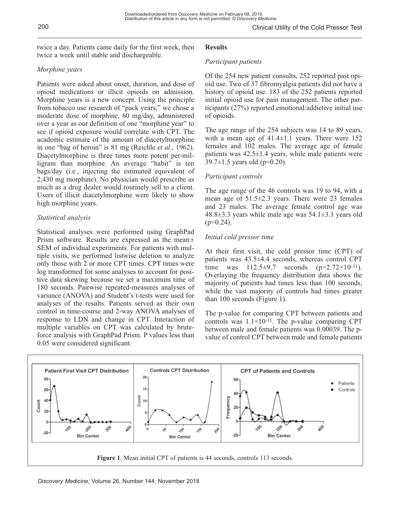twice a day. Patients came daily for the first week, then twice a week until stable and dischargeable.

# *Morphine years*

Patients were asked about onset, duration, and dose of opioid medications or illicit opioids on admission. Morphine years is a new concept. Using the principle from tobacco use research of "pack years," we chose a moderate dose of morphine, 60 mg/day, administered over a year as our definition of one "morphine year" to see if opioid exposure would correlate with CPT. The academic estimate of the amount of diacetylmorphine in one "bag of heroin" is 81 mg (Reichle *et al*., 1962). Diacetylmorphine is three times more potent per-milligram than morphine. An average "habit" is ten bags/day (i.e., injecting the estimated equivalent of 2,430 mg morphine). No physician would prescribe as much as a drug dealer would routinely sell to a client. Users of illicit diacetylmorphine were likely to show high morphine years.

# *Statistical analysis*

Statistical analyses were performed using GraphPad Prism software. Results are expressed as the mean $\pm$ SEM of individual experiments. For patients with multiple visits, we performed listwise deletion to analyze only those with 2 or more CPT times. CPT times were log transformed for some analyses to account for positive data skewing because we set a maximum time of 180 seconds. Pairwise repeated-measures analyses of variance (ANOVA) and Student's t-tests were used for analyses of the results. Patients served as their own control in time-course and 2-way ANOVA analyses of response to LDN and change in CPT. Interaction of multiple variables on CPT was calculated by bruteforce analysis with GraphPad Prism. P values less than 0.05 were considered significant.

# **Results**

## *Participant patients*

Of the 254 new patient consults, 252 reported past opioid use. Two of 37 fibromyalgia patients did not have a history of opioid use. 183 of the 252 patients reported initial opioid use for pain management. The other participants (27%) reported emotional/addictive initial use of opioids.

The age range of the 254 subjects was 14 to 89 years, with a mean age of  $41.4 \pm 1.1$  years. There were 152 females and 102 males. The average age of female patients was  $42.5 \pm 1.4$  years, while male patients were 39.7 $\pm$ 1.5 years old (p=0.20).

## *Participant controls*

The age range of the 46 controls was 19 to 94, with a mean age of 51.5±2.3 years. There were 23 females and 23 males. The average female control age was 48.8±3.3 years while male age was 54.1±3.1 years old  $(p=0.24)$ .

## *Initial cold pressor time*

At their first visit, the cold pressor time (CPT) of patients was 43.5±4.4 seconds, whereas control CPT time was  $112.5\pm9.7$  seconds  $(p=2.72\times10^{-11})$ . Overlaying the frequency distribution data shows the majority of patients had times less than 100 seconds, while the vast majority of controls had times greater than 100 seconds (Figure 1).

The p-value for comparing CPT between patients and controls was  $1.1 \times 10^{-11}$ . The p-value comparing CPT between male and female patients was 0.00039. The pvalue of control CPT between male and female patients

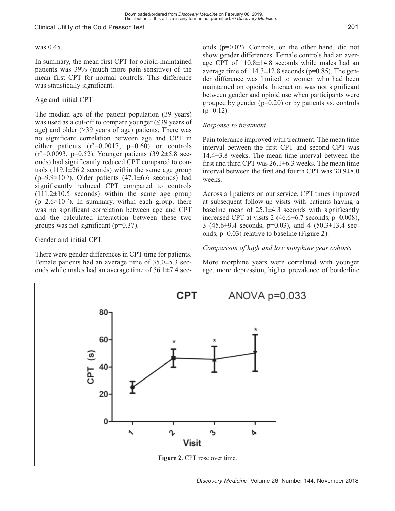## Clinical Utility of the Cold Pressor Test

## was 0.45.

In summary, the mean first CPT for opioid-maintained patients was 39% (much more pain sensitive) of the mean first CPT for normal controls. This difference was statistically significant.

## Age and initial CPT

The median age of the patient population (39 years) was used as a cut-off to compare younger  $(\leq 39)$  years of age) and older (>39 years of age) patients. There was no significant correlation between age and CPT in either patients  $(r^2=0.0017, p=0.60)$  or controls  $(r^2=0.0093, p=0.52)$ . Younger patients  $(39.2\pm5.8 \text{ sec}^{-1})$ onds) had significantly reduced CPT compared to controls  $(119.1 \pm 26.2$  seconds) within the same age group ( $p=9.9\times10^{-5}$ ). Older patients (47.1 $\pm$ 6.6 seconds) had significantly reduced CPT compared to controls  $(111.2\pm10.5$  seconds) within the same age group  $(p=2.6\times10^{-7})$ . In summary, within each group, there was no significant correlation between age and CPT and the calculated interaction between these two groups was not significant  $(p=0.37)$ .

## Gender and initial CPT

There were gender differences in CPT time for patients. Female patients had an average time of 35.0±5.3 seconds while males had an average time of  $56.1\pm7.4$  seconds (p=0.02). Controls, on the other hand, did not show gender differences. Female controls had an average CPT of 110.8±14.8 seconds while males had an average time of  $114.3 \pm 12.8$  seconds (p=0.85). The gender difference was limited to women who had been maintained on opioids. Interaction was not significant between gender and opioid use when participants were grouped by gender  $(p=0.20)$  or by patients vs. controls  $(p=0.12)$ .

## *Response to treatment*

Pain tolerance improved with treatment. The mean time interval between the first CPT and second CPT was 14.4±3.8 weeks. The mean time interval between the first and third CPT was  $26.1 \pm 6.3$  weeks. The mean time interval between the first and fourth CPT was 30.9±8.0 weeks.

Across all patients on our service, CPT times improved at subsequent follow-up visits with patients having a baseline mean of  $25.1\pm4.3$  seconds with significantly increased CPT at visits  $2(46.6\pm6.7 \text{ seconds}, p=0.008)$ , 3 (45.6 $\pm$ 9.4 seconds, p=0.03), and 4 (50.3 $\pm$ 13.4 seconds, p=0.03) relative to baseline (Figure 2).

## *Comparison of high and low morphine year cohorts*

More morphine years were correlated with younger age, more depression, higher prevalence of borderline

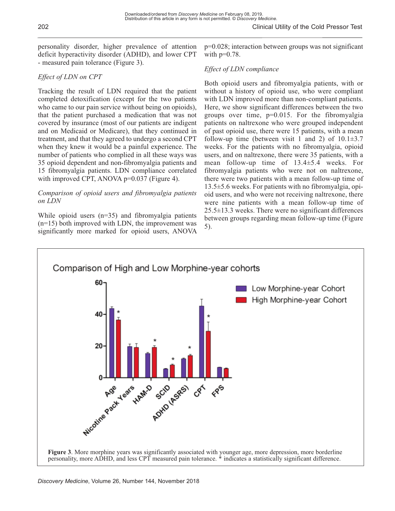personality disorder, higher prevalence of attention deficit hyperactivity disorder (ADHD), and lower CPT - measured pain tolerance (Figure 3).

# *Effect of LDN on CPT*

Tracking the result of LDN required that the patient completed detoxification (except for the two patients who came to our pain service without being on opioids), that the patient purchased a medication that was not covered by insurance (most of our patients are indigent and on Medicaid or Medicare), that they continued in treatment, and that they agreed to undergo a second CPT when they knew it would be a painful experience. The number of patients who complied in all these ways was 35 opioid dependent and non-fibromyalgia patients and 15 fibromyalgia patients. LDN compliance correlated with improved CPT, ANOVA p=0.037 (Figure 4).

## *Comparison of opioid users and fibromyalgia patients on LDN*

While opioid users  $(n=35)$  and fibromyalgia patients (n=15) both improved with LDN, the improvement was significantly more marked for opioid users, ANOVA p=0.028; interaction between groups was not significant with  $p=0.78$ .

# *Effect of LDN compliance*

Both opioid users and fibromyalgia patients, with or without a history of opioid use, who were compliant with LDN improved more than non-compliant patients. Here, we show significant differences between the two groups over time,  $p=0.015$ . For the fibromyalgia patients on naltrexone who were grouped independent of past opioid use, there were 15 patients, with a mean follow-up time (between visit 1 and 2) of  $10.1\pm3.7$ weeks. For the patients with no fibromyalgia, opioid users, and on naltrexone, there were 35 patients, with a mean follow-up time of 13.4±5.4 weeks. For fibromyalgia patients who were not on naltrexone, there were two patients with a mean follow-up time of 13.5±5.6 weeks. For patients with no fibromyalgia, opioid users, and who were not receiving naltrexone, there were nine patients with a mean follow-up time of 25.5±13.3 weeks. There were no significant differences between groups regarding mean follow-up time (Figure 5).

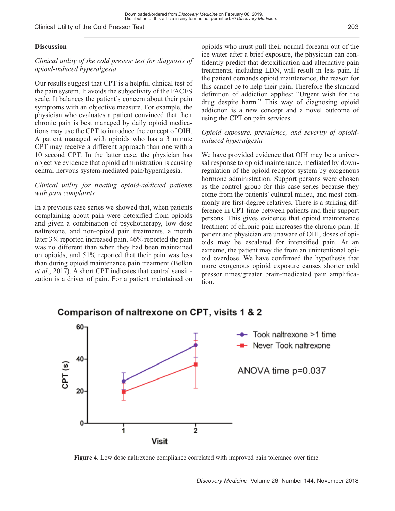#### Clinical Utility of the Cold Pressor Test

## **Discussion**

## *Clinical utility of the cold pressor test for diagnosis of opioid-induced hyperalgesia*

Our results suggest that CPT is a helpful clinical test of the pain system. It avoids the subjectivity of the FACES scale. It balances the patient's concern about their pain symptoms with an objective measure. For example, the physician who evaluates a patient convinced that their chronic pain is best managed by daily opioid medications may use the CPT to introduce the concept of OIH. A patient managed with opioids who has a 3 minute CPT may receive a different approach than one with a 10 second CPT. In the latter case, the physician has objective evidence that opioid administration is causing central nervous system-mediated pain/hyperalgesia.

## *Clinical utility for treating opioid-addicted patients with pain complaints*

In a previous case series we showed that, when patients complaining about pain were detoxified from opioids and given a combination of psychotherapy, low dose naltrexone, and non-opioid pain treatments, a month later 3% reported increased pain, 46% reported the pain was no different than when they had been maintained on opioids, and 51% reported that their pain was less than during opioid maintenance pain treatment (Belkin *et al*., 2017). A short CPT indicates that central sensitization is a driver of pain. For a patient maintained on opioids who must pull their normal forearm out of the ice water after a brief exposure, the physician can confidently predict that detoxification and alternative pain treatments, including LDN, will result in less pain. If the patient demands opioid maintenance, the reason for this cannot be to help their pain. Therefore the standard definition of addiction applies: "Urgent wish for the drug despite harm." This way of diagnosing opioid addiction is a new concept and a novel outcome of using the CPT on pain services.

## *Opioid exposure, prevalence, and severity of opioidinduced hyperalgesia*

We have provided evidence that OIH may be a universal response to opioid maintenance, mediated by downregulation of the opioid receptor system by exogenous hormone administration. Support persons were chosen as the control group for this case series because they come from the patients' cultural milieu, and most commonly are first-degree relatives. There is a striking difference in CPT time between patients and their support persons. This gives evidence that opioid maintenance treatment of chronic pain increases the chronic pain. If patient and physician are unaware of OIH, doses of opioids may be escalated for intensified pain. At an extreme, the patient may die from an unintentional opioid overdose. We have confirmed the hypothesis that more exogenous opioid exposure causes shorter cold pressor times/greater brain-medicated pain amplification.

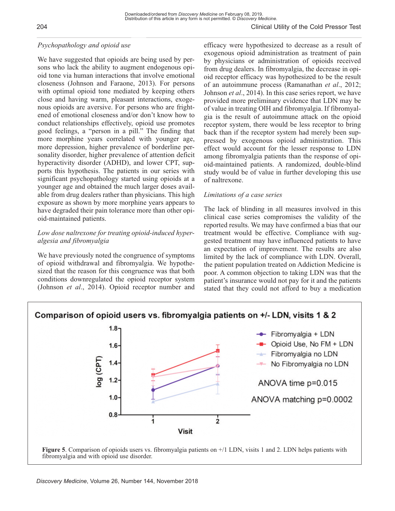# *Psychopathology and opioid use*

We have suggested that opioids are being used by persons who lack the ability to augment endogenous opioid tone via human interactions that involve emotional closeness (Johnson and Faraone, 2013). For persons with optimal opioid tone mediated by keeping others close and having warm, pleasant interactions, exogenous opioids are aversive. For persons who are frightened of emotional closeness and/or don't know how to conduct relationships effectively, opioid use promotes good feelings, a "person in a pill." The finding that more morphine years correlated with younger age, more depression, higher prevalence of borderline personality disorder, higher prevalence of attention deficit hyperactivity disorder (ADHD), and lower CPT, supports this hypothesis. The patients in our series with significant psychopathology started using opioids at a younger age and obtained the much larger doses available from drug dealers rather than physicians. This high exposure as shown by more morphine years appears to have degraded their pain tolerance more than other opioid-maintained patients.

## *Low dose naltrexone for treating opioid-induced hyperalgesia and fibromyalgia*

We have previously noted the congruence of symptoms of opioid withdrawal and fibromyalgia. We hypothesized that the reason for this congruence was that both conditions downregulated the opioid receptor system (Johnson *et al*., 2014). Opioid receptor number and efficacy were hypothesized to decrease as a result of exogenous opioid administration as treatment of pain by physicians or administration of opioids received from drug dealers. In fibromyalgia, the decrease in opioid receptor efficacy was hypothesized to be the result of an autoimmune process (Ramanathan *et al*., 2012; Johnson *et al*., 2014). In this case series report, we have provided more preliminary evidence that LDN may be of value in treating OIH and fibromyalgia. If fibromyalgia is the result of autoimmune attack on the opioid receptor system, there would be less receptor to bring back than if the receptor system had merely been suppressed by exogenous opioid administration. This effect would account for the lesser response to LDN among fibromyalgia patients than the response of opioid-maintained patients. A randomized, double-blind study would be of value in further developing this use of naltrexone.

## *Limitations of a case series*

The lack of blinding in all measures involved in this clinical case series compromises the validity of the reported results. We may have confirmed a bias that our treatment would be effective. Compliance with suggested treatment may have influenced patients to have an expectation of improvement. The results are also limited by the lack of compliance with LDN. Overall, the patient population treated on Addiction Medicine is poor. A common objection to taking LDN was that the patient's insurance would not pay for it and the patients stated that they could not afford to buy a medication

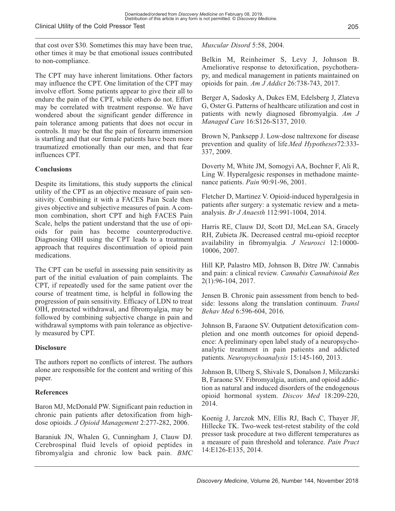that cost over \$30. Sometimes this may have been true, other times it may be that emotional issues contributed to non-compliance.

The CPT may have inherent limitations. Other factors may influence the CPT. One limitation of the CPT may involve effort. Some patients appear to give their all to endure the pain of the CPT, while others do not. Effort may be correlated with treatment response. We have wondered about the significant gender difference in pain tolerance among patients that does not occur in controls. It may be that the pain of forearm immersion is startling and that our female patients have been more traumatized emotionally than our men, and that fear influences CPT.

# **Conclusions**

Despite its limitations, this study supports the clinical utility of the CPT as an objective measure of pain sensitivity. Combining it with a FACES Pain Scale then gives objective and subjective measures of pain. A common combination, short CPT and high FACES Pain Scale, helps the patient understand that the use of opioids for pain has become counterproductive. Diagnosing OIH using the CPT leads to a treatment approach that requires discontinuation of opioid pain medications.

The CPT can be useful in assessing pain sensitivity as part of the initial evaluation of pain complaints. The CPT, if repeatedly used for the same patient over the course of treatment time, is helpful in following the progression of pain sensitivity. Efficacy of LDN to treat OIH, protracted withdrawal, and fibromyalgia, may be followed by combining subjective change in pain and withdrawal symptoms with pain tolerance as objectively measured by CPT.

# **Disclosure**

The authors report no conflicts of interest. The authors alone are responsible for the content and writing of this paper.

# **References**

Baron MJ, McDonald PW. Significant pain reduction in chronic pain patients after detoxification from highdose opioids. *J Opioid Management* 2:277-282, 2006.

Baraniuk JN, Whalen G, Cunningham J, Clauw DJ. Cerebrospinal fluid levels of opioid peptides in fibromyalgia and chronic low back pain. *BMC*

*Muscular Disord* 5:58, 2004.

Belkin M, Reinheimer S, Levy J, Johnson B. Ameliorative response to detoxification, psychotherapy, and medical management in patients maintained on opioids for pain. *Am J Addict* 26:738-743, 2017.

Berger A, Sadosky A, Dukes EM, Edelsberg J, Zlateva G, Oster G. Patterns of healthcare utilization and cost in patients with newly diagnosed fibromyalgia. *Am J Managed Care* 16:S126-S137, 2010.

Brown N, Panksepp J. Low-dose naltrexone for disease prevention and quality of life.*Med Hypotheses*72:333- 337, 2009.

Doverty M, White JM, Somogyi AA, Bochner F, Ali R, Ling W. Hyperalgesic responses in methadone maintenance patients. *Pain* 90:91-96, 2001.

Fletcher D, Martinez V. Opioid-induced hyperalgesia in patients after surgery: a systematic review and a metaanalysis. *Br J Anaesth* 112:991-1004, 2014.

Harris RE, Clauw DJ, Scott DJ, McLean SA, Gracely RH, Zubieta JK. Decreased central mu-opioid receptor availability in fibromyalgia*. J Neurosci* 12:10000- 10006, 2007.

Hill KP, Palastro MD, Johnson B, Ditre JW. Cannabis and pain: a clinical review. *Cannabis Cannabinoid Res* 2(1):96-104, 2017.

Jensen B. Chronic pain assessment from bench to bedside: lessons along the translation continuum. *Transl Behav Med* 6:596-604, 2016.

Johnson B, Faraone SV. Outpatient detoxification completion and one month outcomes for opioid dependence: A preliminary open label study of a neuropsychoanalytic treatment in pain patients and addicted patients. *Neuropsychoanalysis* 15:145-160, 2013.

Johnson B, Ulberg S, Shivale S, Donalson J, Milczarski B, Faraone SV. Fibromyalgia, autism, and opioid addiction as natural and induced disorders of the endogenous opioid hormonal system. *Discov Med* 18:209-220, 2014.

Koenig J, Jarczok MN, Ellis RJ, Bach C, Thayer JF, Hillecke TK. Two-week test-retest stability of the cold pressor task procedure at two different temperatures as a measure of pain threshold and tolerance. *Pain Pract* 14:E126-E135, 2014.